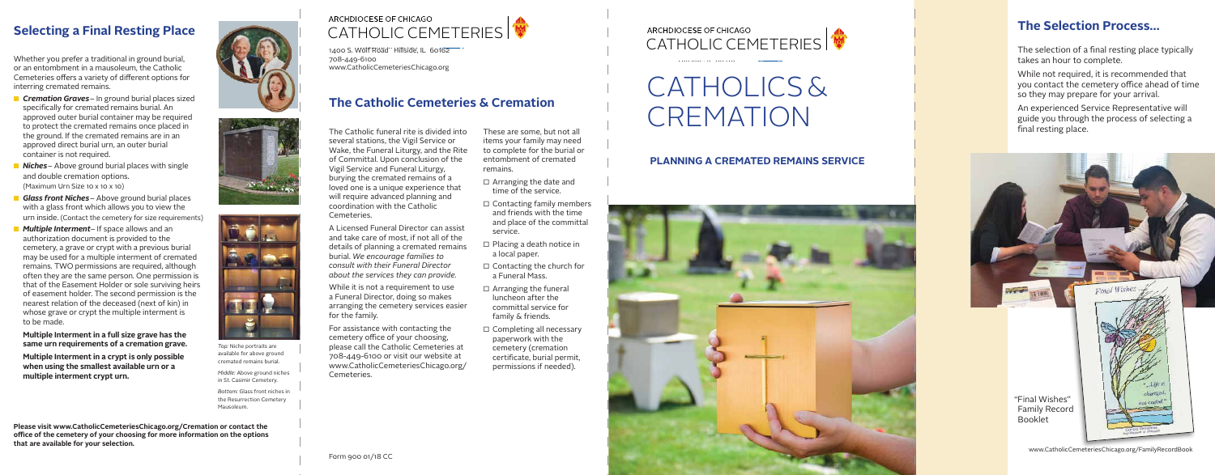While not required, it is recommended that you contact the cemetery office ahead of time so they may prepare for your arrival.

An experienced Service Representative will guide you through the process of selecting a final resting place.  $\sim$  1  $\sim$  1  $\sim$  1  $\sim$  1  $\sim$  1  $\sim$  1  $\sim$  1  $\sim$  1  $\sim$  1  $\sim$  1  $\sim$  1  $\sim$  1  $\sim$  1  $\sim$  1  $\sim$  1  $\sim$  1  $\sim$  1  $\sim$  1  $\sim$  1  $\sim$  1  $\sim$  1  $\sim$  1  $\sim$  1  $\sim$  1  $\sim$  1  $\sim$  1  $\sim$  1  $\sim$  1  $\sim$  1  $\sim$  1  $\sim$  1  $\sim$ 



www.CatholicCemeteriesChicago.org/FamilyRecordBook

# **Selecting a Final Resting Place**

Whether you prefer a traditional in ground burial,  $\mathbb{R}$  and  $\mathbb{R}$ or an entombment in a mausoleum, the Catholic or an encombinent in a maasoleum, the eatholic<br>Cemeteries offers a variety of different options for interring cremated remains.

> *Top:* Niche portraits are available for above ground cremated remains burial.

*Middle:* Above ground niches in St. Casimir Cemetery.

*Bottom:* Glass front niches in the Resurrection Cemetery Mausoleum.

ancient tradition of preferring that the bodies of preferring that the bodies of preferring that the bodies of  $\mathcal{A}$  $\Gamma$  the deceased behavior that the buried behavior that the buried behavior  $\Gamma$ **CATHOLIC CEMETERIES I ARCHDIOCESE OF CHICAGO** 

 $\overline{52}$ resurrection – that one day, Christ will return at  $\alpha$ 1400 S. Wolf Road Hillside, IL 60162 708-449-6100 Hillside, IL 60162 www.CatholicCemeteriesChicago.org 1410 - 1111 - 1111<br>708-449-6100

- **n** *Cremation Graves* In ground burial places sized specifically for cremated remains burial. An approved outer burial container may be required  $\Box$ to protect the cremated remains once placed in the ground. If the cremated remains are in an approved direct burial urn, an outer burial container is not required.
- **Niches** Above ground burial places with single and double cremation options. (Maximum Urn Size 10 x 10 x 10)
- **Glass front Niches** Above ground burial places with a glass front which allows you to view the urn inside. (Contact the cemetery for size requirements)
- **Multiple Interment** If space allows and an authorization document is provided to the cemetery, a grave or crypt with a previous burial may be used for a multiple interment of cremated remains. TWO permissions are required, although often they are the same person. One permission is that of the Easement Holder or sole surviving heirs of easement holder. The second permission is the nearest relation of the deceased (next of kin) in whose grave or crypt the multiple interment is to be made.

## CATHOLICS & CREMATION  $L\cup C$ CAILIVI

### **Multiple Interment in a full size grave has the same urn requirements of a cremation grave.**

**Multiple Interment in a crypt is only possible when using the smallest available urn or a multiple interment crypt urn.**

**Please visit www.CatholicCemeteriesChicago.org/Cremation or contact the office of the cemetery of your choosing for more information on the options that are available for your selection.**

### **PLANNING A CREMATED REMAINS SERVICE**

### The Selection Process... human belegrading too

The selection of a final resting place typically takes an hour to complete. ce typically

- $\Box$  Arranging the date and time of the service.
- $\Box$  Contacting family members and friends with the time and place of the committal service.
- □ Placing a death notice in a local paper.
- $\Box$  Contacting the church for a Funeral Mass.
- $\Box$  Arranging the funeral luncheon after the committal service for family & friends.
- $\Box$  Completing all necessary paperwork with the cemetery (cremation certificate, burial permit, permissions if needed).

Hillside, IL 60162

 $\sim$   $\sim$  $\sqrt{2}$ 











The Catholic funeral rite is divided into several stations, the Vigil Service or Wake, the Funeral Liturgy, and the Rite of Committal. Upon conclusion of the Vigil Service and Funeral Liturgy, burying the cremated remains of a loved one is a unique experience that will require advanced planning and coordination with the Catholic Cemeteries.

A Licensed Funeral Director can assist and take care of most, if not all of the details of planning a cremated remains burial. *We encourage families to consult with their Funeral Director about the services they can provide.*

While it is not a requirement to use a Funeral Director, doing so makes arranging the cemetery services easier for the family.

For assistance with contacting the cemetery office of your choosing, please call the Catholic Cemeteries at 708-449-6100 or visit our website at www.CatholicCemeteriesChicago.org/ Cemeteries.

These are some, but not all items your family may need to complete for the burial or entombment of cremated remains.

## **The Catholic Cemeteries & Cremation**